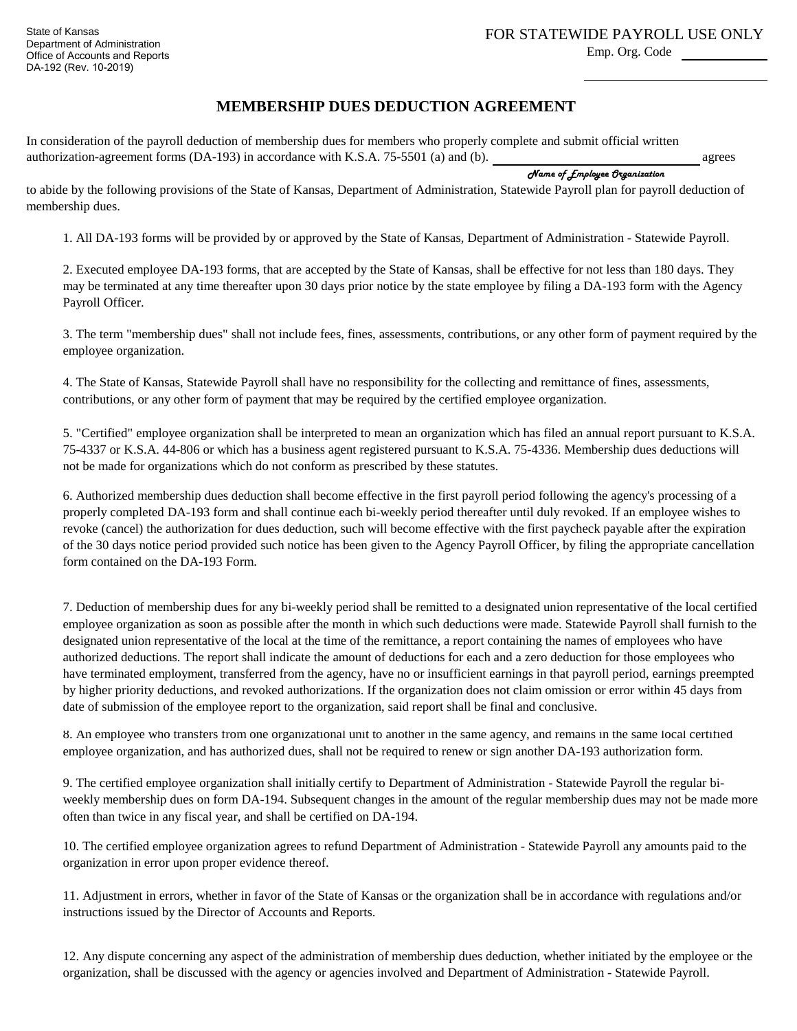Emp. Org. Code

## **MEMBERSHIP DUES DEDUCTION AGREEMENT**

In consideration of the payroll deduction of membership dues for members who properly complete and submit official written agrees authorization-agreement forms (DA-193) in accordance with K.S.A. 75-5501 (a) and (b).

Name of Employee Organization

to abide by the following provisions of the State of Kansas, Department of Administration, Statewide Payroll plan for payroll deduction of membership dues.

1. All DA-193 forms will be provided by or approved by the State of Kansas, Department of Administration - Statewide Payroll.

2. Executed employee DA-193 forms, that are accepted by the State of Kansas, shall be effective for not less than 180 days. They may be terminated at any time thereafter upon 30 days prior notice by the state employee by filing a DA-193 form with the Agency Payroll Officer.

3. The term "membership dues" shall not include fees, fines, assessments, contributions, or any other form of payment required by the employee organization.

4. The State of Kansas, Statewide Payroll shall have no responsibility for the collecting and remittance of fines, assessments, contributions, or any other form of payment that may be required by the certified employee organization.

5. "Certified" employee organization shall be interpreted to mean an organization which has filed an annual report pursuant to K.S.A. 75-4337 or K.S.A. 44-806 or which has a business agent registered pursuant to K.S.A. 75-4336. Membership dues deductions will not be made for organizations which do not conform as prescribed by these statutes.

6. Authorized membership dues deduction shall become effective in the first payroll period following the agency's processing of a properly completed DA-193 form and shall continue each bi-weekly period thereafter until duly revoked. If an employee wishes to revoke (cancel) the authorization for dues deduction, such will become effective with the first paycheck payable after the expiration of the 30 days notice period provided such notice has been given to the Agency Payroll Officer, by filing the appropriate cancellation form contained on the DA-193 Form.

7. Deduction of membership dues for any bi-weekly period shall be remitted to a designated union representative of the local certified employee organization as soon as possible after the month in which such deductions were made. Statewide Payroll shall furnish to the designated union representative of the local at the time of the remittance, a report containing the names of employees who have authorized deductions. The report shall indicate the amount of deductions for each and a zero deduction for those employees who have terminated employment, transferred from the agency, have no or insufficient earnings in that payroll period, earnings preempted by higher priority deductions, and revoked authorizations. If the organization does not claim omission or error within 45 days from date of submission of the employee report to the organization, said report shall be final and conclusive.

8. An employee who transfers from one organizational unit to another in the same agency, and remains in the same local certified employee organization, and has authorized dues, shall not be required to renew or sign another DA-193 authorization form.

9. The certified employee organization shall initially certify to Department of Administration - Statewide Payroll the regular biweekly membership dues on form DA-194. Subsequent changes in the amount of the regular membership dues may not be made more often than twice in any fiscal year, and shall be certified on DA-194.

10. The certified employee organization agrees to refund Department of Administration - Statewide Payroll any amounts paid to the organization in error upon proper evidence thereof.

11. Adjustment in errors, whether in favor of the State of Kansas or the organization shall be in accordance with regulations and/or instructions issued by the Director of Accounts and Reports.

12. Any dispute concerning any aspect of the administration of membership dues deduction, whether initiated by the employee or the organization, shall be discussed with the agency or agencies involved and Department of Administration - Statewide Payroll.